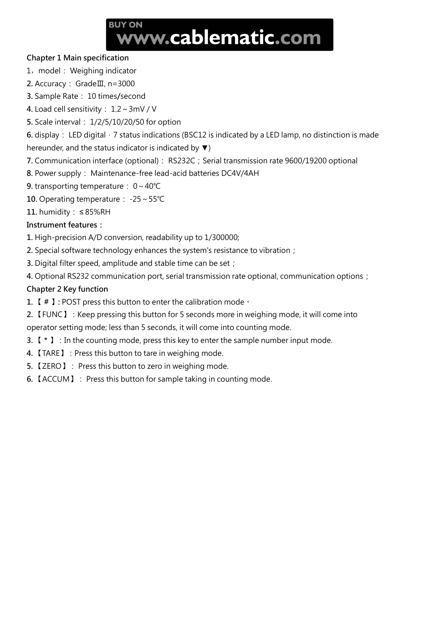# **BUY ON** www.cablematic.com

#### **Chapter 1 Main specification**

1, model: Weighing indicator

- **2.** Accuracy: GradeⅢ, n=3000
- **3.** Sample Rate: 10 times**/**second

**4.** Load cell sensitivity: 1.2~3mV / V

**5.** Scale interval: 1/2/5/10/20/50 for option

**6.** display: LED digital, 7 status indications (BSC12 is indicated by a LED lamp, no distinction is made hereunder, and the status indicator is indicated by  $\blacktriangledown$ )

- 7. Communication interface (optional): RS232C; Serial transmission rate 9600/19200 optional
- **8.** Power supply: Maintenance-free lead-acid batteries DC4V/4AH
- **9.** transporting temperature: 0~40℃
- **10.** Operating temperature: -25~55℃
- **11.** humidity: ≤ 85%RH

#### **Instrument features:**

- **1.** High-precision A/D conversion, readability up to 1/300000;
- **2.** Special software technology enhances the system's resistance to vibration;
- **3.** Digital filter speed, amplitude and stable time can be set;
- **4.** Optional RS232 communication port, serial transmission rate optional, communication options;

### **Chapter 2 Key function**

- **1.** 【 **#** 】**:** POST press this button to enter the calibration mode。
- **2.** 【FUNC】:Keep pressing this button for 5 seconds more in weighing mode, it will come into operator setting mode; less than 5 seconds, it will come into counting mode.
- **3.** 【 **\*** 】:In the counting mode, press this key to enter the sample number input mode.
- **4.** 【TARE】:Press this button to tare in weighing mode.
- **5.** 【ZERO】: Press this button to zero in weighing mode.
- **6.** 【ACCUM】: Press this button for sample taking in counting mode.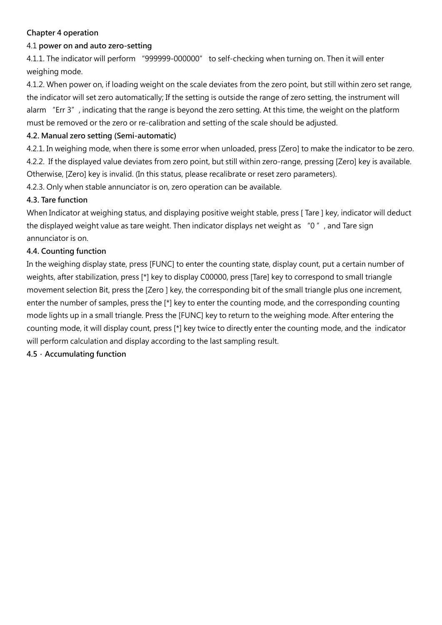#### **Chapter 4 operation**

# 4.1 **power on and auto zero-setting**

4.1.1. The indicator will perform "999999-000000" to self-checking when turning on. Then it will enter weighing mode.

4.1.2. When power on, if loading weight on the scale deviates from the zero point, but still within zero set range, the indicator will set zero automatically; If the setting is outside the range of zero setting, the instrument will alarm "Err 3", indicating that the range is beyond the zero setting. At this time, the weight on the platform must be removed or the zero or re-calibration and setting of the scale should be adjusted.

# **4.2. Manual zero setting (Semi-automatic)**

4.2.1. In weighing mode, when there is some error when unloaded, press [Zero] to make the indicator to be zero. 4.2.2. If the displayed value deviates from zero point, but still within zero-range, pressing [Zero] key is available. Otherwise, [Zero] key is invalid. (In this status, please recalibrate or reset zero parameters).

4.2.3. Only when stable annunciator is on, zero operation can be available.

# **4.3. Tare function**

When Indicator at weighing status, and displaying positive weight stable, press [ Tare ] key, indicator will deduct the displayed weight value as tare weight. Then indicator displays net weight as "0", and Tare sign annunciator is on.

# **4.4. Counting function**

In the weighing display state, press [FUNC] to enter the counting state, display count, put a certain number of weights, after stabilization, press [\*] key to display C00000, press [Tare] key to correspond to small triangle movement selection Bit, press the [Zero ] key, the corresponding bit of the small triangle plus one increment, enter the number of samples, press the [\*] key to enter the counting mode, and the corresponding counting mode lights up in a small triangle. Press the [FUNC] key to return to the weighing mode. After entering the counting mode, it will display count, press [\*] key twice to directly enter the counting mode, and the indicator will perform calculation and display according to the last sampling result.

**4.5.Accumulating function**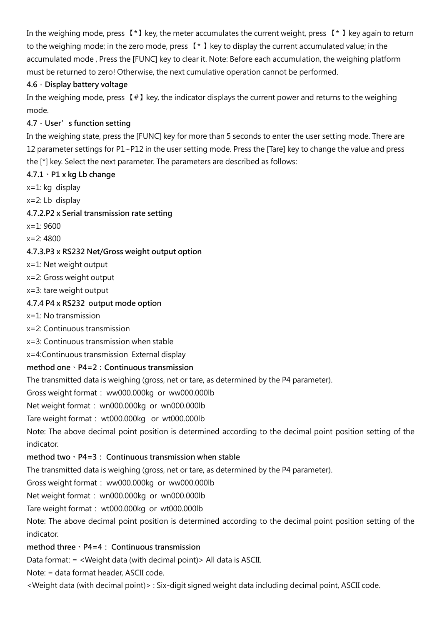In the weighing mode, press 【\*】key, the meter accumulates the current weight, press 【\* 】key again to return to the weighing mode; in the zero mode, press 【\* 】key to display the current accumulated value; in the accumulated mode , Press the [FUNC] key to clear it. Note: Before each accumulation, the weighing platform must be returned to zero! Otherwise, the next cumulative operation cannot be performed.

### **4.6.Display battery voltage**

In the weighing mode, press  $[$  #  $]$  key, the indicator displays the current power and returns to the weighing mode.

# **4.7.User's function setting**

In the weighing state, press the [FUNC] key for more than 5 seconds to enter the user setting mode. There are 12 parameter settings for P1~P12 in the user setting mode. Press the [Tare] key to change the value and press the [\*] key. Select the next parameter. The parameters are described as follows:

# **4.7.1、P1 x kg Lb change**

- x=1: kg display
- x=2: Lb display

# **4.7.2.P2 x Serial transmission rate setting**

x=1: 9600

x=2: 4800

# **4.7.3.P3 x RS232 Net/Gross weight output option**

- x=1: Net weight output
- x=2: Gross weight output
- x=3: tare weight output

# **4.7.4 P4 x RS232 output mode option**

- x=1: No transmission
- x=2: Continuous transmission
- x=3: Continuous transmission when stable
- x=4:Continuous transmission External display

### **method one、P4=2:Continuous transmission**

The transmitted data is weighing (gross, net or tare, as determined by the P4 parameter).

Gross weight format: ww000.000kg or ww000.000lb

Net weight format: wn000.000kg or wn000.000lb

### Tare weight format: wt000.000kg or wt000.000lb

Note: The above decimal point position is determined according to the decimal point position setting of the indicator.

### **method two、P4=3: Continuous transmission when stable**

The transmitted data is weighing (gross, net or tare, as determined by the P4 parameter).

Gross weight format: ww000.000kg or ww000.000lb

Net weight format: wn000.000kg or wn000.000lb

Tare weight format: wt000.000kg or wt000.000lb

Note: The above decimal point position is determined according to the decimal point position setting of the indicator.

### **method three、P4=4: Continuous transmission**

Data format: = <Weight data (with decimal point)> All data is ASCII.

Note: = data format header, ASCII code.

<Weight data (with decimal point)> : Six-digit signed weight data including decimal point, ASCII code.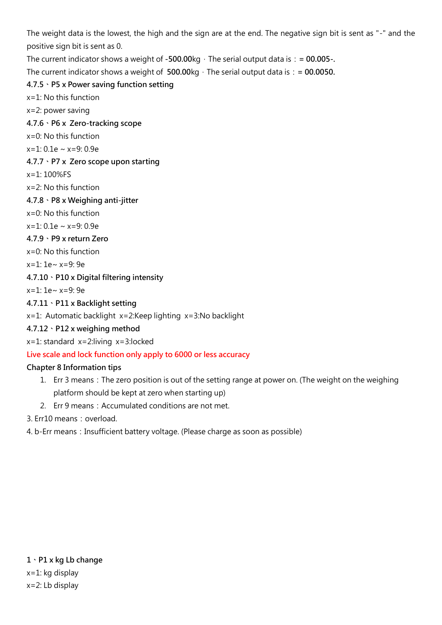The weight data is the lowest, the high and the sign are at the end. The negative sign bit is sent as "-" and the positive sign bit is sent as 0.

The current indicator shows a weight of  $-500.00$ kg, The serial output data is:  $= 00.005$ .

The current indicator shows a weight of  $500.00 \text{kg} \cdot \text{The serial output data is}$ : = 00.0050.

# **4.7.5、P5 x Power saving function setting**

x=1: No this function

x=2: power saving

**4.7.6、P6 x Zero-tracking scope**

x=0: No this function

 $x=1: 0.1e \sim x=9:0.9e$ 

**4.7.7、P7 x Zero scope upon starting**

x=1: 100%FS

x=2: No this function

**4.7.8、P8 x Weighing anti-jitter**

x=0: No this function

 $x=1: 0.1e \sim x=9:0.9e$ 

#### **4.7.9、P9 x return Zero**

x=0: No this function

x=1: 1e~ x=9: 9e

### **4.7.10、P10 x Digital filtering intensity**

x=1: 1e~ x=9: 9e

#### **4.7.11、P11 x Backlight setting**

x=1: Automatic backlight x=2:Keep lighting x=3:No backlight

### **4.7.12、P12 x weighing method**

x=1: standard x=2:living x=3:locked

### **Live scale and lock function only apply to 6000 or less accuracy**

### **Chapter 8 Information tips**

- 1. Err 3 means: The zero position is out of the setting range at power on. (The weight on the weighing platform should be kept at zero when starting up)
- 2. Err 9 means: Accumulated conditions are not met.

3. Err10 means: overload.

4. b-Err means: Insufficient battery voltage. (Please charge as soon as possible)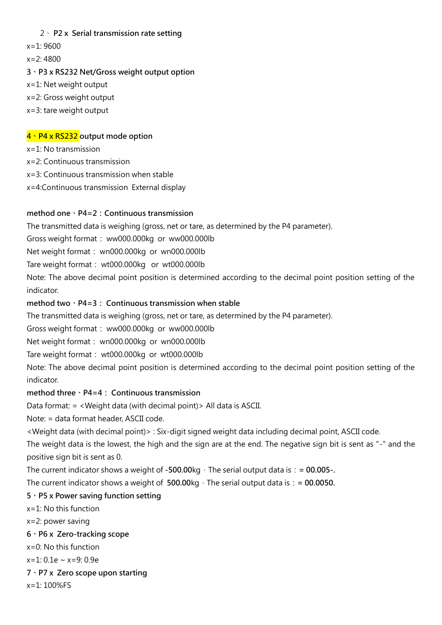#### 2、 **P2 x Serial transmission rate setting**

 $x=1:9600$ 

x=2: 4800

#### **3、P3 x RS232 Net/Gross weight output option**

- x=1: Net weight output
- x=2: Gross weight output
- x=3: tare weight output

#### **4、P4 x RS232 output mode option**

x=1: No transmission

x=2: Continuous transmission

x=3: Continuous transmission when stable

x=4:Continuous transmission External display

#### **method one、P4=2:Continuous transmission**

The transmitted data is weighing (gross, net or tare, as determined by the P4 parameter).

Gross weight format: ww000.000kg or ww000.000lb

Net weight format: wn000.000kg or wn000.000lb

Tare weight format: wt000.000kg or wt000.000lb

Note: The above decimal point position is determined according to the decimal point position setting of the indicator.

#### **method two、P4=3: Continuous transmission when stable**

The transmitted data is weighing (gross, net or tare, as determined by the P4 parameter).

Gross weight format: ww000.000kg or ww000.000lb

Net weight format: wn000.000kg or wn000.000lb

Tare weight format: wt000.000kg or wt000.000lb

Note: The above decimal point position is determined according to the decimal point position setting of the indicator.

#### **method three、P4=4: Continuous transmission**

Data format: = <Weight data (with decimal point)> All data is ASCII.

Note: = data format header, ASCII code.

<Weight data (with decimal point)> : Six-digit signed weight data including decimal point, ASCII code.

The weight data is the lowest, the high and the sign are at the end. The negative sign bit is sent as "-" and the positive sign bit is sent as 0.

The current indicator shows a weight of  $-500.00$ kg, The serial output data is:  $= 00.005$ .

The current indicator shows a weight of  $500.00 \text{kg} \cdot \text{The serial output data is}$ : = 00.0050.

#### **5、P5 x Power saving function setting**

x=1: No this function

x=2: power saving

#### **6、P6 x Zero-tracking scope**

x=0: No this function

x=1: 0.1e ~ x=9: 0.9e

#### **7、P7 x Zero scope upon starting**

x=1: 100%FS